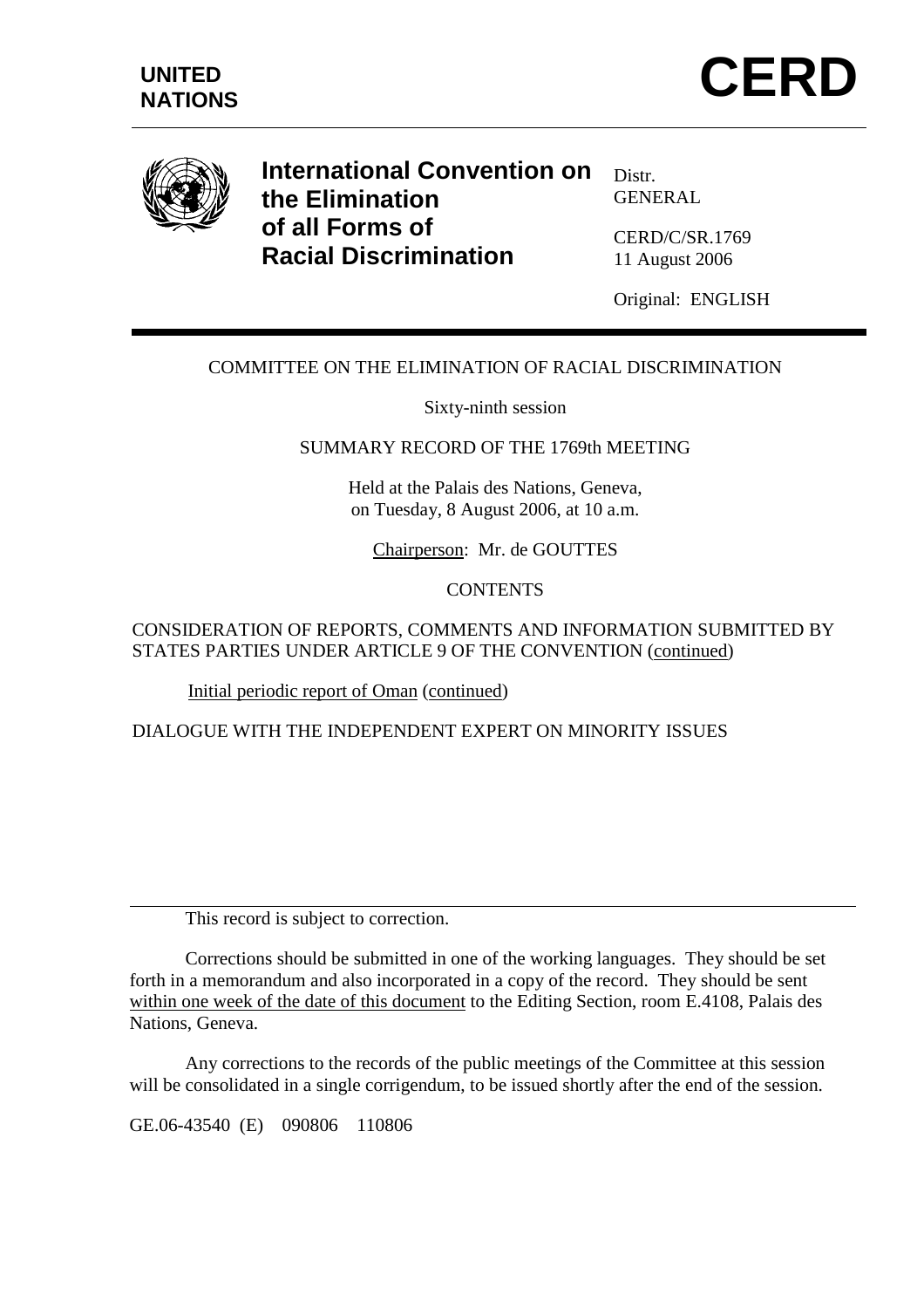



**International Convention on the Elimination of all Forms of Racial Discrimination** 

Distr. GENERAL

CERD/C/SR.1769 11 August 2006

Original: ENGLISH

# COMMITTEE ON THE ELIMINATION OF RACIAL DISCRIMINATION

Sixty-ninth session

#### SUMMARY RECORD OF THE 1769th MEETING

Held at the Palais des Nations, Geneva, on Tuesday, 8 August 2006, at 10 a.m.

Chairperson: Mr. de GOUTTES

#### **CONTENTS**

### CONSIDERATION OF REPORTS, COMMENTS AND INFORMATION SUBMITTED BY STATES PARTIES UNDER ARTICLE 9 OF THE CONVENTION (continued)

Initial periodic report of Oman (continued)

DIALOGUE WITH THE INDEPENDENT EXPERT ON MINORITY ISSUES

This record is subject to correction.

 Corrections should be submitted in one of the working languages. They should be set forth in a memorandum and also incorporated in a copy of the record. They should be sent within one week of the date of this document to the Editing Section, room E.4108, Palais des Nations, Geneva.

 Any corrections to the records of the public meetings of the Committee at this session will be consolidated in a single corrigendum, to be issued shortly after the end of the session.

GE.06-43540 (E) 090806 110806

 $\overline{a}$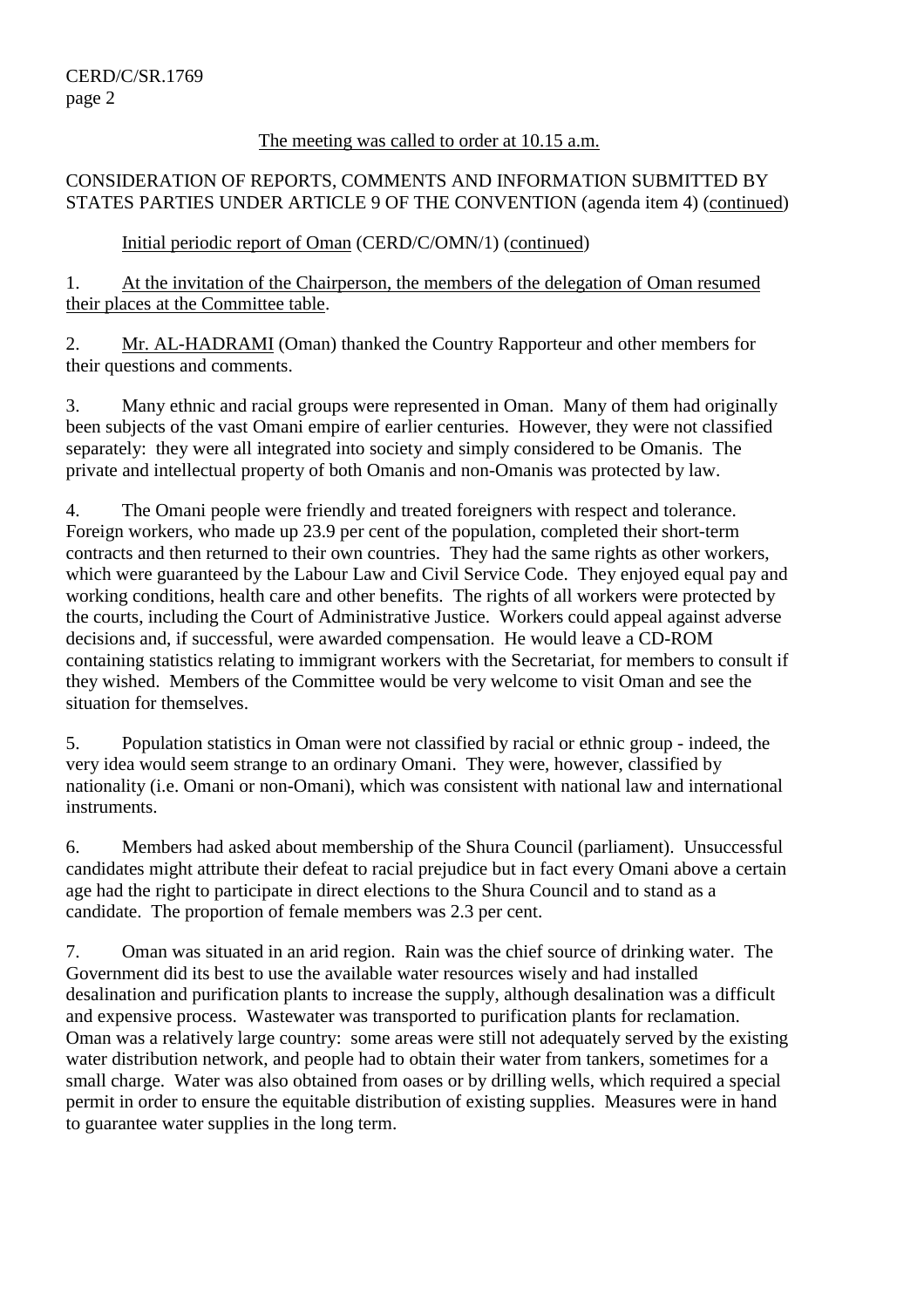### The meeting was called to order at 10.15 a.m.

## CONSIDERATION OF REPORTS, COMMENTS AND INFORMATION SUBMITTED BY STATES PARTIES UNDER ARTICLE 9 OF THE CONVENTION (agenda item 4) (continued)

## Initial periodic report of Oman (CERD/C/OMN/1) (continued)

1. At the invitation of the Chairperson, the members of the delegation of Oman resumed their places at the Committee table.

2. Mr. AL-HADRAMI (Oman) thanked the Country Rapporteur and other members for their questions and comments.

3. Many ethnic and racial groups were represented in Oman. Many of them had originally been subjects of the vast Omani empire of earlier centuries. However, they were not classified separately: they were all integrated into society and simply considered to be Omanis. The private and intellectual property of both Omanis and non-Omanis was protected by law.

4. The Omani people were friendly and treated foreigners with respect and tolerance. Foreign workers, who made up 23.9 per cent of the population, completed their short-term contracts and then returned to their own countries. They had the same rights as other workers, which were guaranteed by the Labour Law and Civil Service Code. They enjoyed equal pay and working conditions, health care and other benefits. The rights of all workers were protected by the courts, including the Court of Administrative Justice. Workers could appeal against adverse decisions and, if successful, were awarded compensation. He would leave a CD-ROM containing statistics relating to immigrant workers with the Secretariat, for members to consult if they wished. Members of the Committee would be very welcome to visit Oman and see the situation for themselves.

5. Population statistics in Oman were not classified by racial or ethnic group - indeed, the very idea would seem strange to an ordinary Omani. They were, however, classified by nationality (i.e. Omani or non-Omani), which was consistent with national law and international instruments.

6. Members had asked about membership of the Shura Council (parliament). Unsuccessful candidates might attribute their defeat to racial prejudice but in fact every Omani above a certain age had the right to participate in direct elections to the Shura Council and to stand as a candidate. The proportion of female members was 2.3 per cent.

7. Oman was situated in an arid region. Rain was the chief source of drinking water. The Government did its best to use the available water resources wisely and had installed desalination and purification plants to increase the supply, although desalination was a difficult and expensive process. Wastewater was transported to purification plants for reclamation. Oman was a relatively large country: some areas were still not adequately served by the existing water distribution network, and people had to obtain their water from tankers, sometimes for a small charge. Water was also obtained from oases or by drilling wells, which required a special permit in order to ensure the equitable distribution of existing supplies. Measures were in hand to guarantee water supplies in the long term.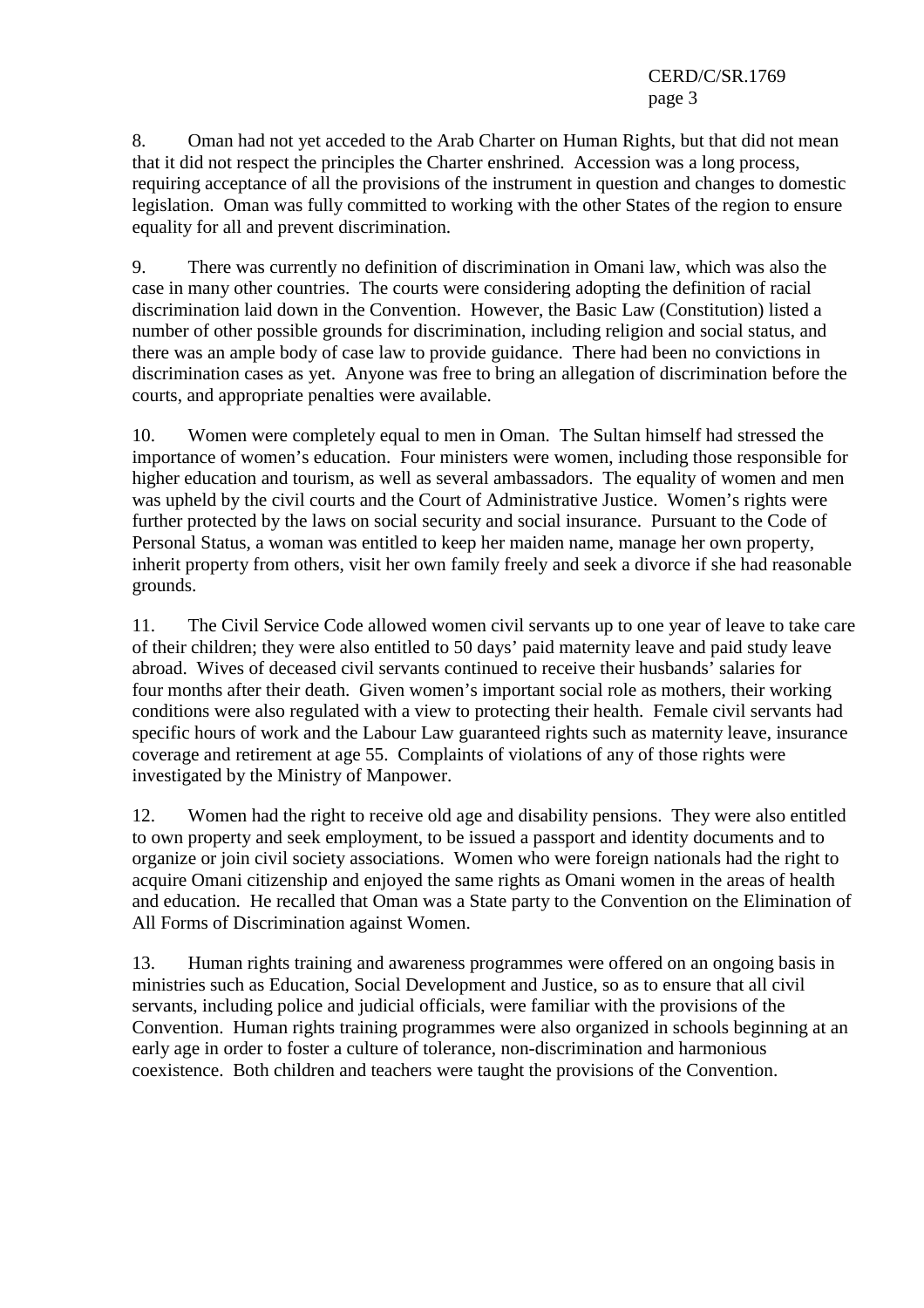8. Oman had not yet acceded to the Arab Charter on Human Rights, but that did not mean that it did not respect the principles the Charter enshrined. Accession was a long process, requiring acceptance of all the provisions of the instrument in question and changes to domestic legislation. Oman was fully committed to working with the other States of the region to ensure equality for all and prevent discrimination.

9. There was currently no definition of discrimination in Omani law, which was also the case in many other countries. The courts were considering adopting the definition of racial discrimination laid down in the Convention. However, the Basic Law (Constitution) listed a number of other possible grounds for discrimination, including religion and social status, and there was an ample body of case law to provide guidance. There had been no convictions in discrimination cases as yet. Anyone was free to bring an allegation of discrimination before the courts, and appropriate penalties were available.

10. Women were completely equal to men in Oman. The Sultan himself had stressed the importance of women's education. Four ministers were women, including those responsible for higher education and tourism, as well as several ambassadors. The equality of women and men was upheld by the civil courts and the Court of Administrative Justice. Women's rights were further protected by the laws on social security and social insurance. Pursuant to the Code of Personal Status, a woman was entitled to keep her maiden name, manage her own property, inherit property from others, visit her own family freely and seek a divorce if she had reasonable grounds.

11. The Civil Service Code allowed women civil servants up to one year of leave to take care of their children; they were also entitled to 50 days' paid maternity leave and paid study leave abroad. Wives of deceased civil servants continued to receive their husbands' salaries for four months after their death. Given women's important social role as mothers, their working conditions were also regulated with a view to protecting their health. Female civil servants had specific hours of work and the Labour Law guaranteed rights such as maternity leave, insurance coverage and retirement at age 55. Complaints of violations of any of those rights were investigated by the Ministry of Manpower.

12. Women had the right to receive old age and disability pensions. They were also entitled to own property and seek employment, to be issued a passport and identity documents and to organize or join civil society associations. Women who were foreign nationals had the right to acquire Omani citizenship and enjoyed the same rights as Omani women in the areas of health and education. He recalled that Oman was a State party to the Convention on the Elimination of All Forms of Discrimination against Women.

13. Human rights training and awareness programmes were offered on an ongoing basis in ministries such as Education, Social Development and Justice, so as to ensure that all civil servants, including police and judicial officials, were familiar with the provisions of the Convention. Human rights training programmes were also organized in schools beginning at an early age in order to foster a culture of tolerance, non-discrimination and harmonious coexistence. Both children and teachers were taught the provisions of the Convention.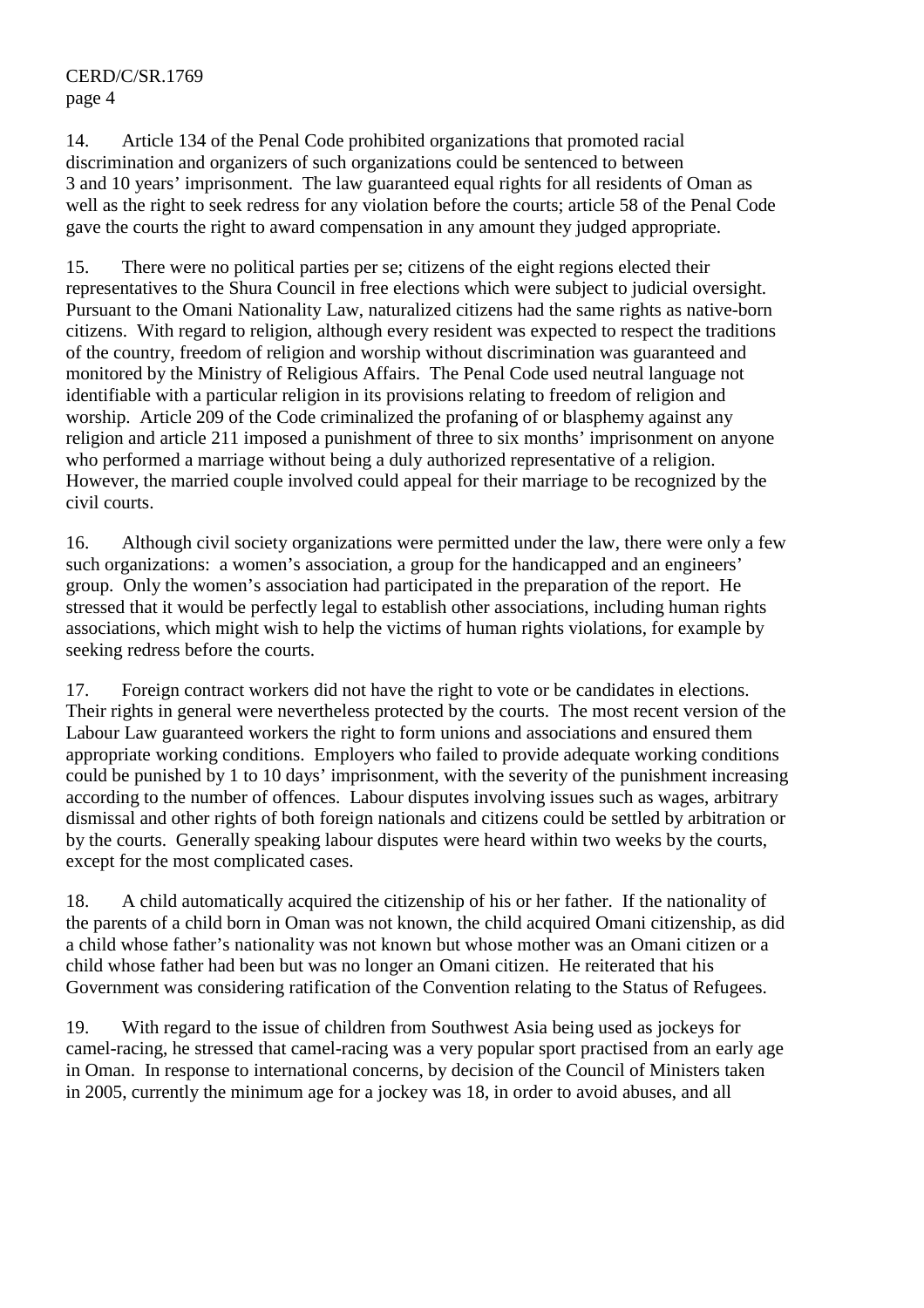14. Article 134 of the Penal Code prohibited organizations that promoted racial discrimination and organizers of such organizations could be sentenced to between 3 and 10 years' imprisonment. The law guaranteed equal rights for all residents of Oman as well as the right to seek redress for any violation before the courts; article 58 of the Penal Code gave the courts the right to award compensation in any amount they judged appropriate.

15. There were no political parties per se; citizens of the eight regions elected their representatives to the Shura Council in free elections which were subject to judicial oversight. Pursuant to the Omani Nationality Law, naturalized citizens had the same rights as native-born citizens. With regard to religion, although every resident was expected to respect the traditions of the country, freedom of religion and worship without discrimination was guaranteed and monitored by the Ministry of Religious Affairs. The Penal Code used neutral language not identifiable with a particular religion in its provisions relating to freedom of religion and worship. Article 209 of the Code criminalized the profaning of or blasphemy against any religion and article 211 imposed a punishment of three to six months' imprisonment on anyone who performed a marriage without being a duly authorized representative of a religion. However, the married couple involved could appeal for their marriage to be recognized by the civil courts.

16. Although civil society organizations were permitted under the law, there were only a few such organizations: a women's association, a group for the handicapped and an engineers' group. Only the women's association had participated in the preparation of the report. He stressed that it would be perfectly legal to establish other associations, including human rights associations, which might wish to help the victims of human rights violations, for example by seeking redress before the courts.

17. Foreign contract workers did not have the right to vote or be candidates in elections. Their rights in general were nevertheless protected by the courts. The most recent version of the Labour Law guaranteed workers the right to form unions and associations and ensured them appropriate working conditions. Employers who failed to provide adequate working conditions could be punished by 1 to 10 days' imprisonment, with the severity of the punishment increasing according to the number of offences. Labour disputes involving issues such as wages, arbitrary dismissal and other rights of both foreign nationals and citizens could be settled by arbitration or by the courts. Generally speaking labour disputes were heard within two weeks by the courts, except for the most complicated cases.

18. A child automatically acquired the citizenship of his or her father. If the nationality of the parents of a child born in Oman was not known, the child acquired Omani citizenship, as did a child whose father's nationality was not known but whose mother was an Omani citizen or a child whose father had been but was no longer an Omani citizen. He reiterated that his Government was considering ratification of the Convention relating to the Status of Refugees.

19. With regard to the issue of children from Southwest Asia being used as jockeys for camel-racing, he stressed that camel-racing was a very popular sport practised from an early age in Oman. In response to international concerns, by decision of the Council of Ministers taken in 2005, currently the minimum age for a jockey was 18, in order to avoid abuses, and all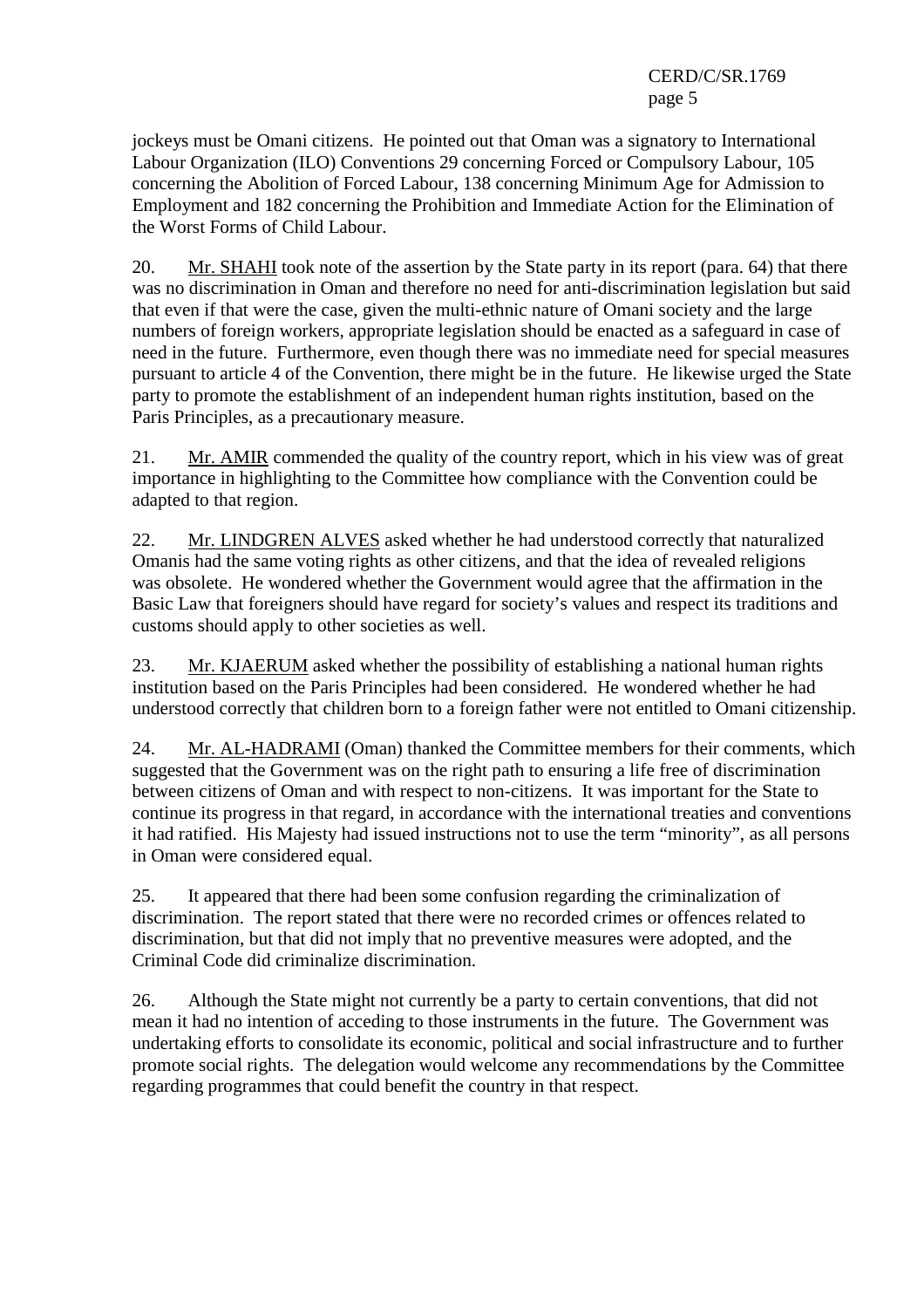jockeys must be Omani citizens. He pointed out that Oman was a signatory to International Labour Organization (ILO) Conventions 29 concerning Forced or Compulsory Labour, 105 concerning the Abolition of Forced Labour, 138 concerning Minimum Age for Admission to Employment and 182 concerning the Prohibition and Immediate Action for the Elimination of the Worst Forms of Child Labour.

20. Mr. SHAHI took note of the assertion by the State party in its report (para. 64) that there was no discrimination in Oman and therefore no need for anti-discrimination legislation but said that even if that were the case, given the multi-ethnic nature of Omani society and the large numbers of foreign workers, appropriate legislation should be enacted as a safeguard in case of need in the future. Furthermore, even though there was no immediate need for special measures pursuant to article 4 of the Convention, there might be in the future. He likewise urged the State party to promote the establishment of an independent human rights institution, based on the Paris Principles, as a precautionary measure.

21. Mr. AMIR commended the quality of the country report, which in his view was of great importance in highlighting to the Committee how compliance with the Convention could be adapted to that region.

22. Mr. LINDGREN ALVES asked whether he had understood correctly that naturalized Omanis had the same voting rights as other citizens, and that the idea of revealed religions was obsolete. He wondered whether the Government would agree that the affirmation in the Basic Law that foreigners should have regard for society's values and respect its traditions and customs should apply to other societies as well.

23. Mr. KJAERUM asked whether the possibility of establishing a national human rights institution based on the Paris Principles had been considered. He wondered whether he had understood correctly that children born to a foreign father were not entitled to Omani citizenship.

24. Mr. AL-HADRAMI (Oman) thanked the Committee members for their comments, which suggested that the Government was on the right path to ensuring a life free of discrimination between citizens of Oman and with respect to non-citizens. It was important for the State to continue its progress in that regard, in accordance with the international treaties and conventions it had ratified. His Majesty had issued instructions not to use the term "minority", as all persons in Oman were considered equal.

25. It appeared that there had been some confusion regarding the criminalization of discrimination. The report stated that there were no recorded crimes or offences related to discrimination, but that did not imply that no preventive measures were adopted, and the Criminal Code did criminalize discrimination.

26. Although the State might not currently be a party to certain conventions, that did not mean it had no intention of acceding to those instruments in the future. The Government was undertaking efforts to consolidate its economic, political and social infrastructure and to further promote social rights. The delegation would welcome any recommendations by the Committee regarding programmes that could benefit the country in that respect.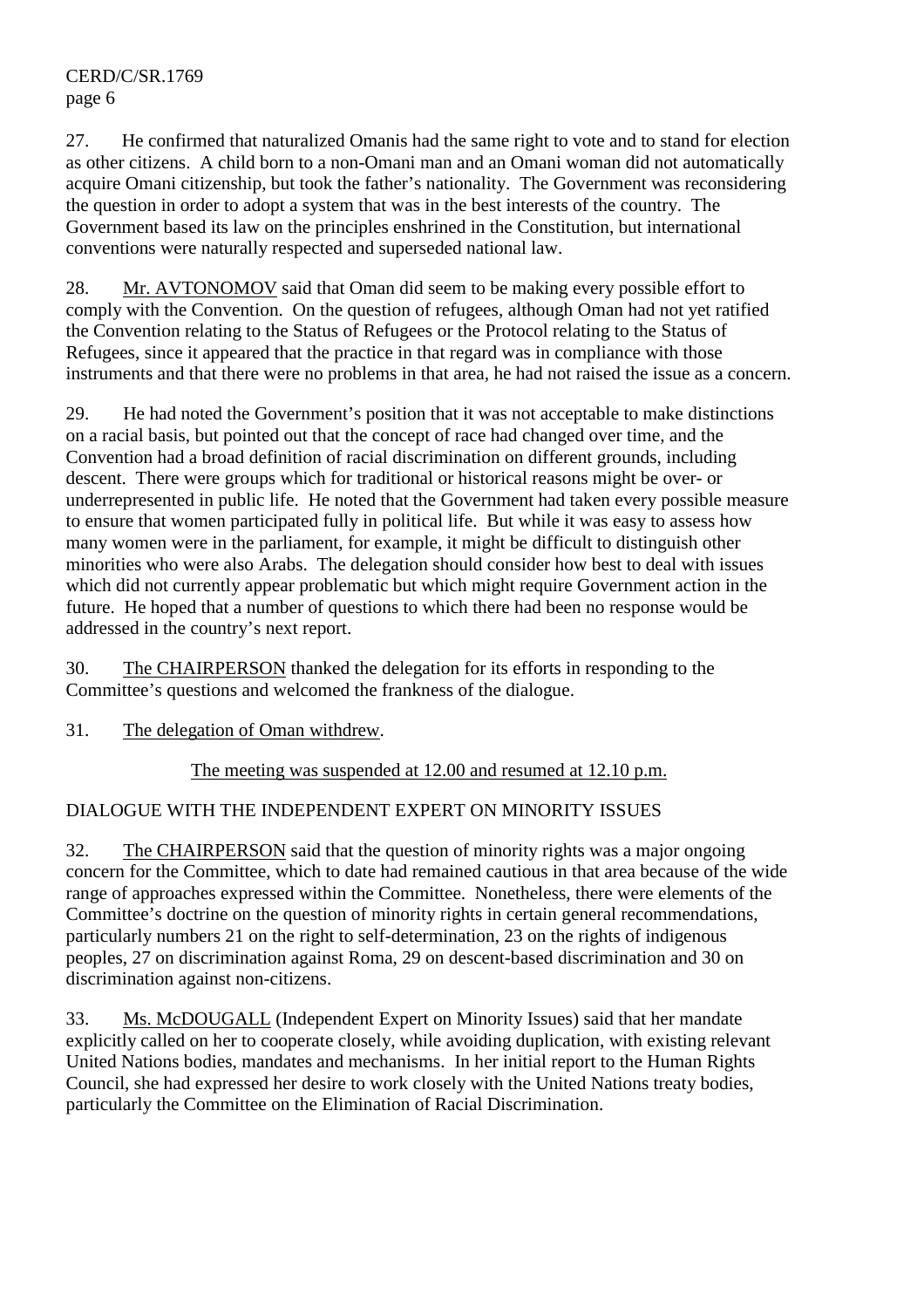CERD/C/SR.1769 page 6

27. He confirmed that naturalized Omanis had the same right to vote and to stand for election as other citizens. A child born to a non-Omani man and an Omani woman did not automatically acquire Omani citizenship, but took the father's nationality. The Government was reconsidering the question in order to adopt a system that was in the best interests of the country. The Government based its law on the principles enshrined in the Constitution, but international conventions were naturally respected and superseded national law.

28. Mr. AVTONOMOV said that Oman did seem to be making every possible effort to comply with the Convention. On the question of refugees, although Oman had not yet ratified the Convention relating to the Status of Refugees or the Protocol relating to the Status of Refugees, since it appeared that the practice in that regard was in compliance with those instruments and that there were no problems in that area, he had not raised the issue as a concern.

29. He had noted the Government's position that it was not acceptable to make distinctions on a racial basis, but pointed out that the concept of race had changed over time, and the Convention had a broad definition of racial discrimination on different grounds, including descent. There were groups which for traditional or historical reasons might be over- or underrepresented in public life. He noted that the Government had taken every possible measure to ensure that women participated fully in political life. But while it was easy to assess how many women were in the parliament, for example, it might be difficult to distinguish other minorities who were also Arabs. The delegation should consider how best to deal with issues which did not currently appear problematic but which might require Government action in the future. He hoped that a number of questions to which there had been no response would be addressed in the country's next report.

30. The CHAIRPERSON thanked the delegation for its efforts in responding to the Committee's questions and welcomed the frankness of the dialogue.

31. The delegation of Oman withdrew.

The meeting was suspended at 12.00 and resumed at 12.10 p.m.

# DIALOGUE WITH THE INDEPENDENT EXPERT ON MINORITY ISSUES

32. The CHAIRPERSON said that the question of minority rights was a major ongoing concern for the Committee, which to date had remained cautious in that area because of the wide range of approaches expressed within the Committee. Nonetheless, there were elements of the Committee's doctrine on the question of minority rights in certain general recommendations, particularly numbers 21 on the right to self-determination, 23 on the rights of indigenous peoples, 27 on discrimination against Roma, 29 on descent-based discrimination and 30 on discrimination against non-citizens.

33. Ms. McDOUGALL (Independent Expert on Minority Issues) said that her mandate explicitly called on her to cooperate closely, while avoiding duplication, with existing relevant United Nations bodies, mandates and mechanisms. In her initial report to the Human Rights Council, she had expressed her desire to work closely with the United Nations treaty bodies, particularly the Committee on the Elimination of Racial Discrimination.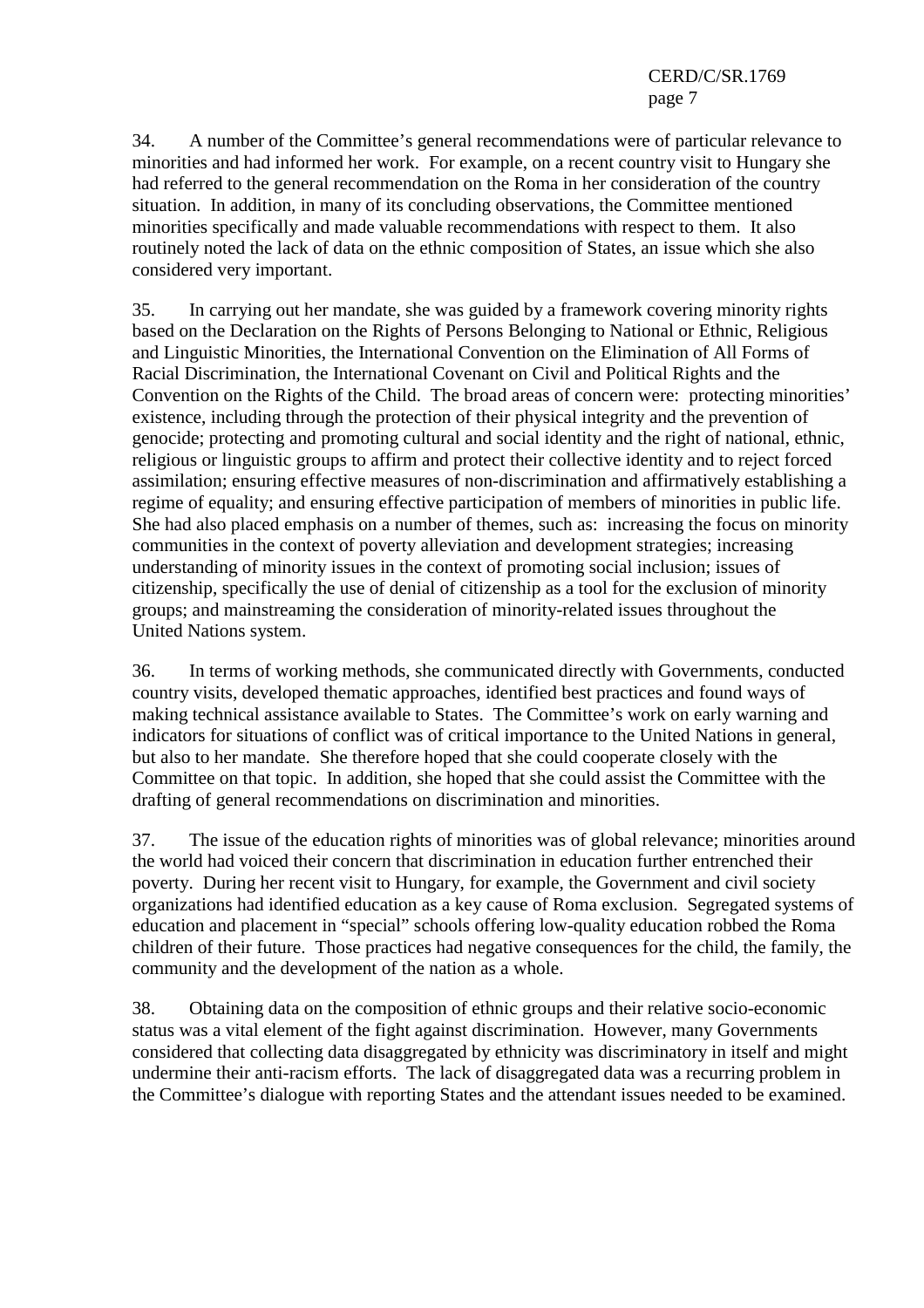34. A number of the Committee's general recommendations were of particular relevance to minorities and had informed her work. For example, on a recent country visit to Hungary she had referred to the general recommendation on the Roma in her consideration of the country situation. In addition, in many of its concluding observations, the Committee mentioned minorities specifically and made valuable recommendations with respect to them. It also routinely noted the lack of data on the ethnic composition of States, an issue which she also considered very important.

35. In carrying out her mandate, she was guided by a framework covering minority rights based on the Declaration on the Rights of Persons Belonging to National or Ethnic, Religious and Linguistic Minorities, the International Convention on the Elimination of All Forms of Racial Discrimination, the International Covenant on Civil and Political Rights and the Convention on the Rights of the Child. The broad areas of concern were: protecting minorities' existence, including through the protection of their physical integrity and the prevention of genocide; protecting and promoting cultural and social identity and the right of national, ethnic, religious or linguistic groups to affirm and protect their collective identity and to reject forced assimilation; ensuring effective measures of non-discrimination and affirmatively establishing a regime of equality; and ensuring effective participation of members of minorities in public life. She had also placed emphasis on a number of themes, such as: increasing the focus on minority communities in the context of poverty alleviation and development strategies; increasing understanding of minority issues in the context of promoting social inclusion; issues of citizenship, specifically the use of denial of citizenship as a tool for the exclusion of minority groups; and mainstreaming the consideration of minority-related issues throughout the United Nations system.

36. In terms of working methods, she communicated directly with Governments, conducted country visits, developed thematic approaches, identified best practices and found ways of making technical assistance available to States. The Committee's work on early warning and indicators for situations of conflict was of critical importance to the United Nations in general, but also to her mandate. She therefore hoped that she could cooperate closely with the Committee on that topic. In addition, she hoped that she could assist the Committee with the drafting of general recommendations on discrimination and minorities.

37. The issue of the education rights of minorities was of global relevance; minorities around the world had voiced their concern that discrimination in education further entrenched their poverty. During her recent visit to Hungary, for example, the Government and civil society organizations had identified education as a key cause of Roma exclusion. Segregated systems of education and placement in "special" schools offering low-quality education robbed the Roma children of their future. Those practices had negative consequences for the child, the family, the community and the development of the nation as a whole.

38. Obtaining data on the composition of ethnic groups and their relative socio-economic status was a vital element of the fight against discrimination. However, many Governments considered that collecting data disaggregated by ethnicity was discriminatory in itself and might undermine their anti-racism efforts. The lack of disaggregated data was a recurring problem in the Committee's dialogue with reporting States and the attendant issues needed to be examined.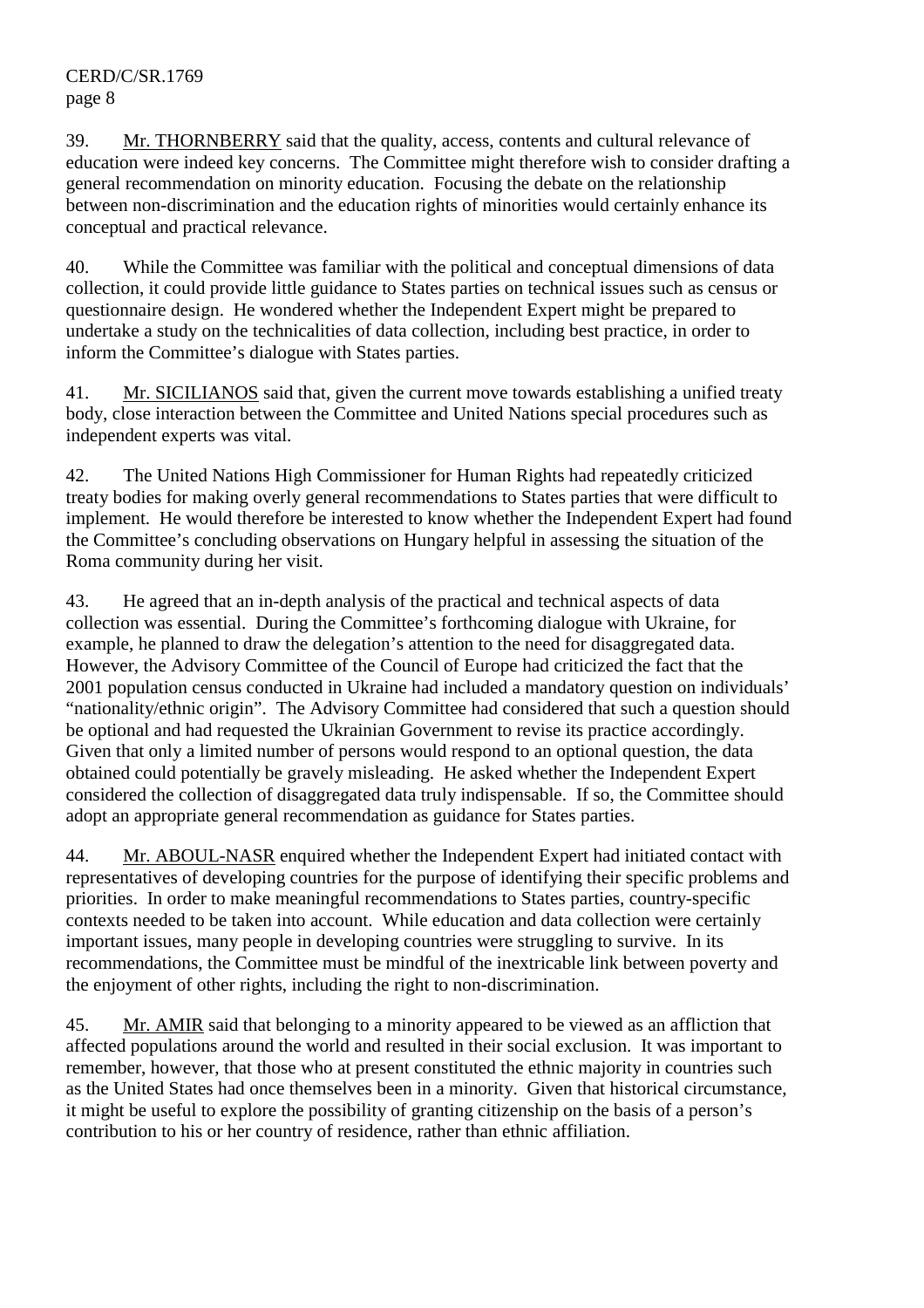39. Mr. THORNBERRY said that the quality, access, contents and cultural relevance of education were indeed key concerns. The Committee might therefore wish to consider drafting a general recommendation on minority education. Focusing the debate on the relationship between non-discrimination and the education rights of minorities would certainly enhance its conceptual and practical relevance.

40. While the Committee was familiar with the political and conceptual dimensions of data collection, it could provide little guidance to States parties on technical issues such as census or questionnaire design. He wondered whether the Independent Expert might be prepared to undertake a study on the technicalities of data collection, including best practice, in order to inform the Committee's dialogue with States parties.

41. Mr. SICILIANOS said that, given the current move towards establishing a unified treaty body, close interaction between the Committee and United Nations special procedures such as independent experts was vital.

42. The United Nations High Commissioner for Human Rights had repeatedly criticized treaty bodies for making overly general recommendations to States parties that were difficult to implement. He would therefore be interested to know whether the Independent Expert had found the Committee's concluding observations on Hungary helpful in assessing the situation of the Roma community during her visit.

43. He agreed that an in-depth analysis of the practical and technical aspects of data collection was essential. During the Committee's forthcoming dialogue with Ukraine, for example, he planned to draw the delegation's attention to the need for disaggregated data. However, the Advisory Committee of the Council of Europe had criticized the fact that the 2001 population census conducted in Ukraine had included a mandatory question on individuals' "nationality/ethnic origin". The Advisory Committee had considered that such a question should be optional and had requested the Ukrainian Government to revise its practice accordingly. Given that only a limited number of persons would respond to an optional question, the data obtained could potentially be gravely misleading. He asked whether the Independent Expert considered the collection of disaggregated data truly indispensable. If so, the Committee should adopt an appropriate general recommendation as guidance for States parties.

44. Mr. ABOUL-NASR enquired whether the Independent Expert had initiated contact with representatives of developing countries for the purpose of identifying their specific problems and priorities. In order to make meaningful recommendations to States parties, country-specific contexts needed to be taken into account. While education and data collection were certainly important issues, many people in developing countries were struggling to survive. In its recommendations, the Committee must be mindful of the inextricable link between poverty and the enjoyment of other rights, including the right to non-discrimination.

45. Mr. AMIR said that belonging to a minority appeared to be viewed as an affliction that affected populations around the world and resulted in their social exclusion. It was important to remember, however, that those who at present constituted the ethnic majority in countries such as the United States had once themselves been in a minority. Given that historical circumstance, it might be useful to explore the possibility of granting citizenship on the basis of a person's contribution to his or her country of residence, rather than ethnic affiliation.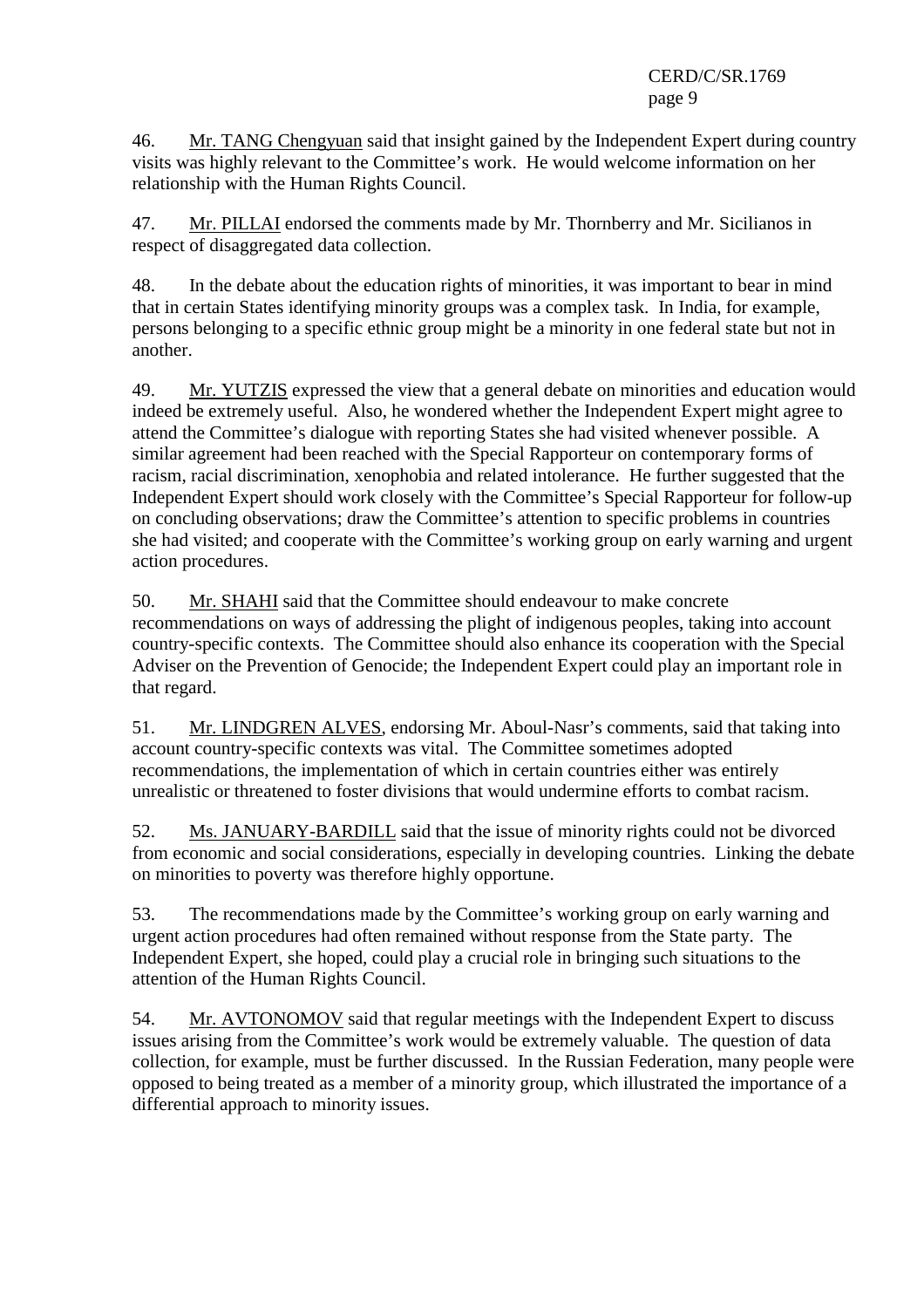CERD/C/SR.1769 page 9

46. Mr. TANG Chengyuan said that insight gained by the Independent Expert during country visits was highly relevant to the Committee's work. He would welcome information on her relationship with the Human Rights Council.

47. Mr. PILLAI endorsed the comments made by Mr. Thornberry and Mr. Sicilianos in respect of disaggregated data collection.

48. In the debate about the education rights of minorities, it was important to bear in mind that in certain States identifying minority groups was a complex task. In India, for example, persons belonging to a specific ethnic group might be a minority in one federal state but not in another.

49. Mr. YUTZIS expressed the view that a general debate on minorities and education would indeed be extremely useful. Also, he wondered whether the Independent Expert might agree to attend the Committee's dialogue with reporting States she had visited whenever possible. A similar agreement had been reached with the Special Rapporteur on contemporary forms of racism, racial discrimination, xenophobia and related intolerance. He further suggested that the Independent Expert should work closely with the Committee's Special Rapporteur for follow-up on concluding observations; draw the Committee's attention to specific problems in countries she had visited; and cooperate with the Committee's working group on early warning and urgent action procedures.

50. Mr. SHAHI said that the Committee should endeavour to make concrete recommendations on ways of addressing the plight of indigenous peoples, taking into account country-specific contexts. The Committee should also enhance its cooperation with the Special Adviser on the Prevention of Genocide; the Independent Expert could play an important role in that regard.

51. Mr. LINDGREN ALVES, endorsing Mr. Aboul-Nasr's comments, said that taking into account country-specific contexts was vital. The Committee sometimes adopted recommendations, the implementation of which in certain countries either was entirely unrealistic or threatened to foster divisions that would undermine efforts to combat racism.

52. Ms. JANUARY-BARDILL said that the issue of minority rights could not be divorced from economic and social considerations, especially in developing countries. Linking the debate on minorities to poverty was therefore highly opportune.

53. The recommendations made by the Committee's working group on early warning and urgent action procedures had often remained without response from the State party. The Independent Expert, she hoped, could play a crucial role in bringing such situations to the attention of the Human Rights Council.

54. Mr. AVTONOMOV said that regular meetings with the Independent Expert to discuss issues arising from the Committee's work would be extremely valuable. The question of data collection, for example, must be further discussed. In the Russian Federation, many people were opposed to being treated as a member of a minority group, which illustrated the importance of a differential approach to minority issues.